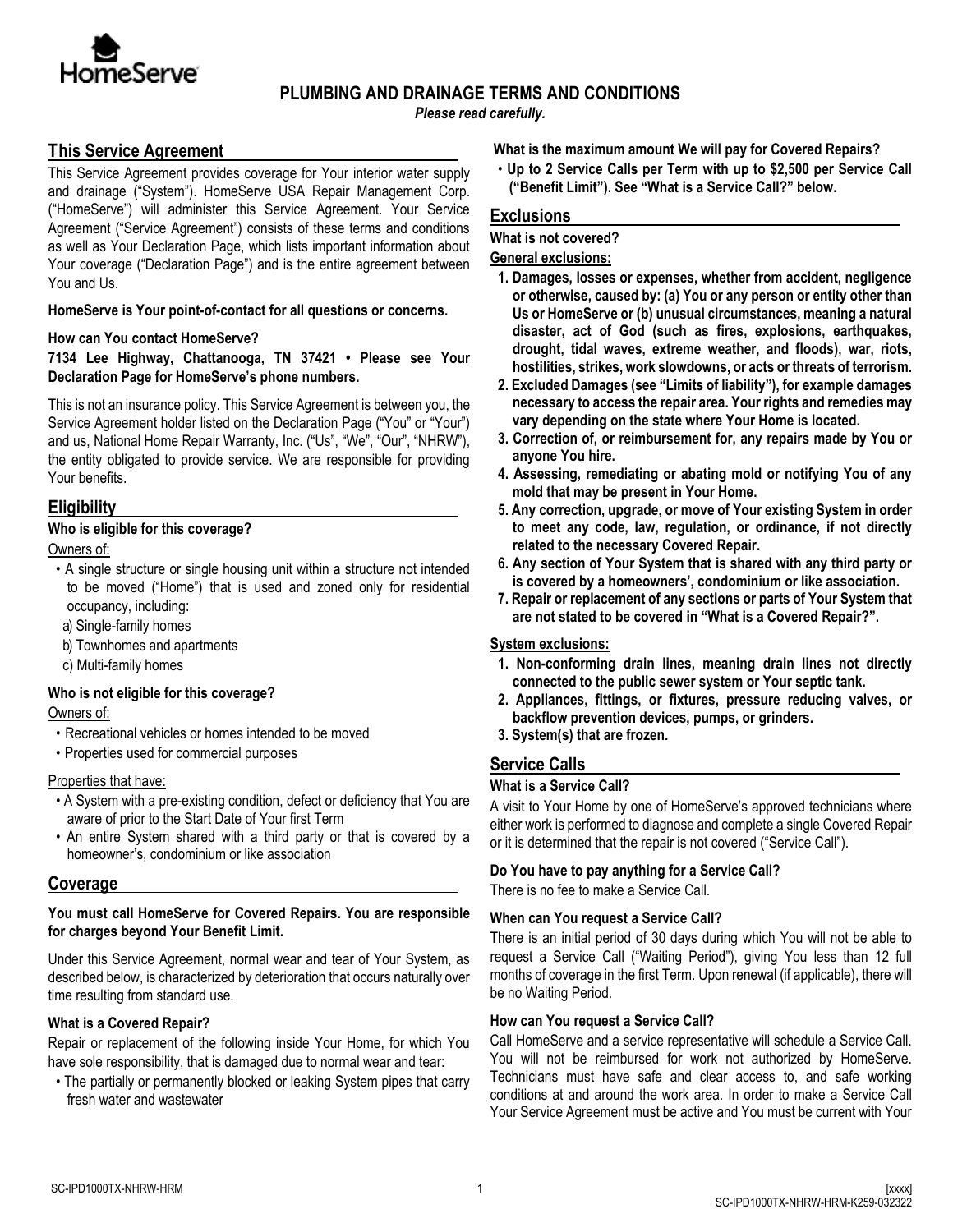

## **PLUMBING AND DRAINAGE TERMS AND CONDITIONS**

*Please read carefully.*

# **This Service Agreement**

This Service Agreement provides coverage for Your interior water supply and drainage ("System"). HomeServe USA Repair Management Corp. ("HomeServe") will administer this Service Agreement. Your Service Agreement ("Service Agreement") consists of these terms and conditions as well as Your Declaration Page, which lists important information about Your coverage ("Declaration Page") and is the entire agreement between You and Us.

## **HomeServe is Your point-of-contact for all questions or concerns.**

## **How can You contact HomeServe?**

## **7134 Lee Highway, Chattanooga, TN 37421 • Please see Your Declaration Page for HomeServe's phone numbers.**

This is not an insurance policy. This Service Agreement is between you, the Service Agreement holder listed on the Declaration Page ("You" or "Your") and us, National Home Repair Warranty, Inc. ("Us", "We", "Our", "NHRW"), the entity obligated to provide service. We are responsible for providing Your benefits.

# **Eligibility**

## **Who is eligible for this coverage?**

Owners of:

- A single structure or single housing unit within a structure not intended to be moved ("Home") that is used and zoned only for residential occupancy, including:
- a) Single-family homes
- b) Townhomes and apartments
- c) Multi-family homes

# **Who is not eligible for this coverage?**

Owners of:

- Recreational vehicles or homes intended to be moved
- Properties used for commercial purposes

## Properties that have:

- A System with a pre-existing condition, defect or deficiency that You are aware of prior to the Start Date of Your first Term
- An entire System shared with a third party or that is covered by a homeowner's, condominium or like association

# **Coverage**

## **You must call HomeServe for Covered Repairs. You are responsible for charges beyond Your Benefit Limit.**

Under this Service Agreement, normal wear and tear of Your System, as described below, is characterized by deterioration that occurs naturally over time resulting from standard use.

## **What is a Covered Repair?**

Repair or replacement of the following inside Your Home, for which You have sole responsibility, that is damaged due to normal wear and tear:

• The partially or permanently blocked or leaking System pipes that carry fresh water and wastewater

**What is the maximum amount We will pay for Covered Repairs?**

• **Up to 2 Service Calls per Term with up to \$2,500 per Service Call ("Benefit Limit"). See "What is a Service Call?" below.**

# **Exclusions**

#### **What is not covered?**

**General exclusions:**

- **1. Damages, losses or expenses, whether from accident, negligence or otherwise, caused by: (a) You or any person or entity other than Us or HomeServe or (b) unusual circumstances, meaning a natural disaster, act of God (such as fires, explosions, earthquakes, drought, tidal waves, extreme weather, and floods), war, riots, hostilities, strikes, work slowdowns, or acts or threats of terrorism.**
- **2. Excluded Damages (see "Limits of liability"), for example damages necessary to access the repair area. Your rights and remedies may vary depending on the state where Your Home is located.**
- **3. Correction of, or reimbursement for, any repairs made by You or anyone You hire.**
- **4. Assessing, remediating or abating mold or notifying You of any mold that may be present in Your Home.**
- **5. Any correction, upgrade, or move of Your existing System in order to meet any code, law, regulation, or ordinance, if not directly related to the necessary Covered Repair.**
- **6. Any section of Your System that is shared with any third party or is covered by a homeowners', condominium or like association.**
- **7. Repair or replacement of any sections or parts of Your System that are not stated to be covered in "What is a Covered Repair?".**

## **System exclusions:**

- **1. Non-conforming drain lines, meaning drain lines not directly connected to the public sewer system or Your septic tank.**
- **2. Appliances, fittings, or fixtures, pressure reducing valves, or backflow prevention devices, pumps, or grinders.**
- **3. System(s) that are frozen.**

# **Service Calls**

## **What is a Service Call?**

A visit to Your Home by one of HomeServe's approved technicians where either work is performed to diagnose and complete a single Covered Repair or it is determined that the repair is not covered ("Service Call").

## **Do You have to pay anything for a Service Call?**

There is no fee to make a Service Call.

## **When can You request a Service Call?**

There is an initial period of 30 days during which You will not be able to request a Service Call ("Waiting Period"), giving You less than 12 full months of coverage in the first Term. Upon renewal (if applicable), there will be no Waiting Period.

## **How can You request a Service Call?**

Call HomeServe and a service representative will schedule a Service Call. You will not be reimbursed for work not authorized by HomeServe. Technicians must have safe and clear access to, and safe working conditions at and around the work area. In order to make a Service Call Your Service Agreement must be active and You must be current with Your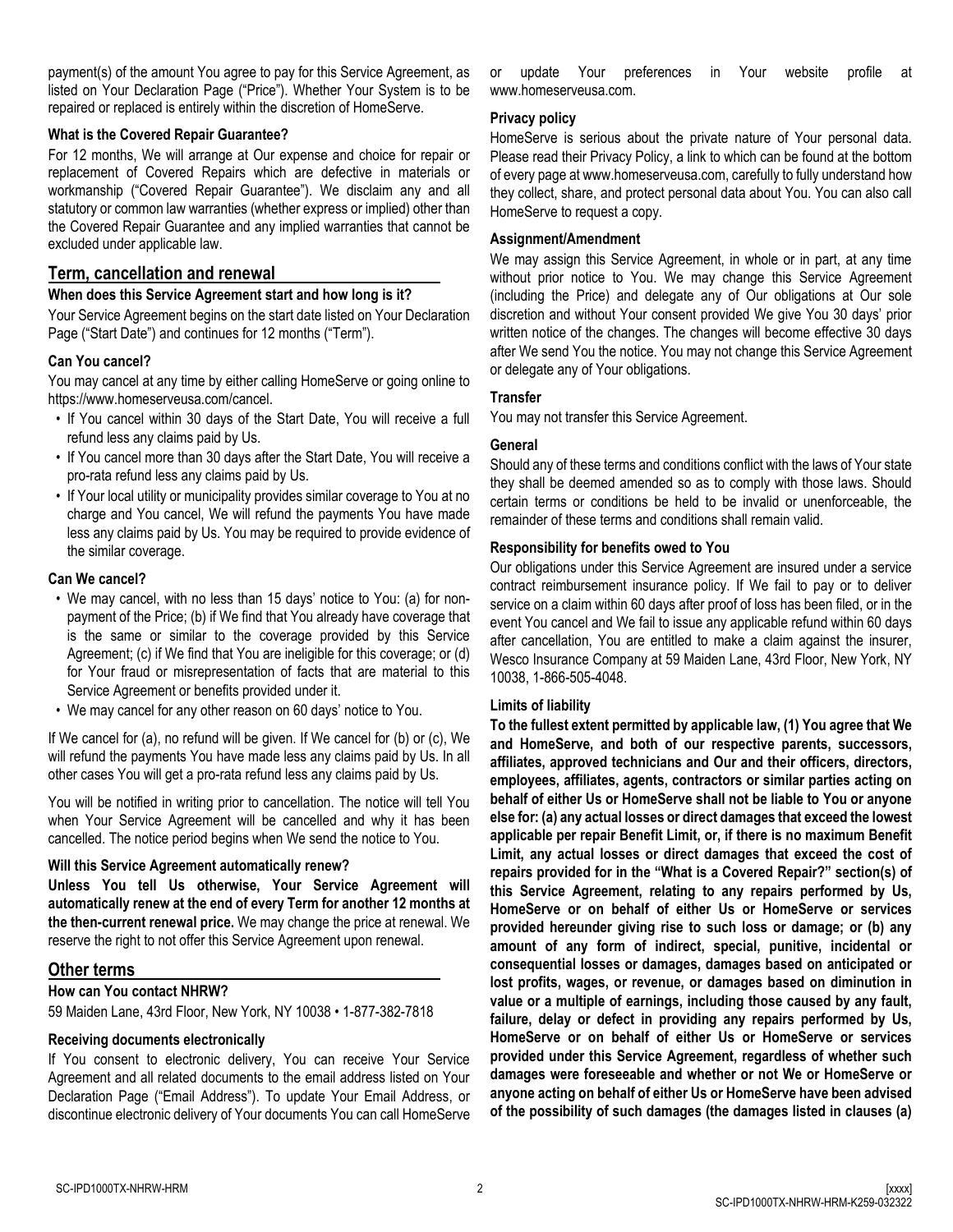payment(s) of the amount You agree to pay for this Service Agreement, as listed on Your Declaration Page ("Price"). Whether Your System is to be repaired or replaced is entirely within the discretion of HomeServe.

#### **What is the Covered Repair Guarantee?**

For 12 months, We will arrange at Our expense and choice for repair or replacement of Covered Repairs which are defective in materials or workmanship ("Covered Repair Guarantee"). We disclaim any and all statutory or common law warranties (whether express or implied) other than the Covered Repair Guarantee and any implied warranties that cannot be excluded under applicable law.

## **Term, cancellation and renewal**

#### **When does this Service Agreement start and how long is it?**

Your Service Agreement begins on the start date listed on Your Declaration Page ("Start Date") and continues for 12 months ("Term").

## **Can You cancel?**

You may cancel at any time by either calling HomeServe or going online to https://www.homeserveusa.com/cancel.

- If You cancel within 30 days of the Start Date, You will receive a full refund less any claims paid by Us.
- If You cancel more than 30 days after the Start Date, You will receive a pro-rata refund less any claims paid by Us.
- If Your local utility or municipality provides similar coverage to You at no charge and You cancel, We will refund the payments You have made less any claims paid by Us. You may be required to provide evidence of the similar coverage.

#### **Can We cancel?**

- We may cancel, with no less than 15 days' notice to You: (a) for nonpayment of the Price; (b) if We find that You already have coverage that is the same or similar to the coverage provided by this Service Agreement; (c) if We find that You are ineligible for this coverage; or (d) for Your fraud or misrepresentation of facts that are material to this Service Agreement or benefits provided under it.
- We may cancel for any other reason on 60 days' notice to You.

If We cancel for (a), no refund will be given. If We cancel for (b) or (c), We will refund the payments You have made less any claims paid by Us. In all other cases You will get a pro-rata refund less any claims paid by Us.

You will be notified in writing prior to cancellation. The notice will tell You when Your Service Agreement will be cancelled and why it has been cancelled. The notice period begins when We send the notice to You.

#### **Will this Service Agreement automatically renew?**

**Unless You tell Us otherwise, Your Service Agreement will automatically renew at the end of every Term for another 12 months at the then-current renewal price.** We may change the price at renewal. We reserve the right to not offer this Service Agreement upon renewal.

## **Other terms**

**How can You contact NHRW?**

59 Maiden Lane, 43rd Floor, New York, NY 10038 • 1-877-382-7818

## **Receiving documents electronically**

If You consent to electronic delivery, You can receive Your Service Agreement and all related documents to the email address listed on Your Declaration Page ("Email Address"). To update Your Email Address, or discontinue electronic delivery of Your documents You can call HomeServe or update Your preferences in Your website profile at www.homeserveusa.com.

#### **Privacy policy**

HomeServe is serious about the private nature of Your personal data. Please read their Privacy Policy, a link to which can be found at the bottom of every page at www.homeserveusa.com, carefully to fully understand how they collect, share, and protect personal data about You. You can also call HomeServe to request a copy.

## **Assignment/Amendment**

We may assign this Service Agreement, in whole or in part, at any time without prior notice to You. We may change this Service Agreement (including the Price) and delegate any of Our obligations at Our sole discretion and without Your consent provided We give You 30 days' prior written notice of the changes. The changes will become effective 30 days after We send You the notice. You may not change this Service Agreement or delegate any of Your obligations.

## **Transfer**

You may not transfer this Service Agreement.

#### **General**

Should any of these terms and conditions conflict with the laws of Your state they shall be deemed amended so as to comply with those laws. Should certain terms or conditions be held to be invalid or unenforceable, the remainder of these terms and conditions shall remain valid.

#### **Responsibility for benefits owed to You**

Our obligations under this Service Agreement are insured under a service contract reimbursement insurance policy. If We fail to pay or to deliver service on a claim within 60 days after proof of loss has been filed, or in the event You cancel and We fail to issue any applicable refund within 60 days after cancellation, You are entitled to make a claim against the insurer, Wesco Insurance Company at 59 Maiden Lane, 43rd Floor, New York, NY 10038, 1-866-505-4048.

#### **Limits of liability**

**To the fullest extent permitted by applicable law, (1) You agree that We and HomeServe, and both of our respective parents, successors, affiliates, approved technicians and Our and their officers, directors, employees, affiliates, agents, contractors or similar parties acting on behalf of either Us or HomeServe shall not be liable to You or anyone else for: (a) any actual losses or direct damages that exceed the lowest applicable per repair Benefit Limit, or, if there is no maximum Benefit Limit, any actual losses or direct damages that exceed the cost of repairs provided for in the "What is a Covered Repair?" section(s) of this Service Agreement, relating to any repairs performed by Us, HomeServe or on behalf of either Us or HomeServe or services provided hereunder giving rise to such loss or damage; or (b) any amount of any form of indirect, special, punitive, incidental or consequential losses or damages, damages based on anticipated or lost profits, wages, or revenue, or damages based on diminution in value or a multiple of earnings, including those caused by any fault, failure, delay or defect in providing any repairs performed by Us, HomeServe or on behalf of either Us or HomeServe or services provided under this Service Agreement, regardless of whether such damages were foreseeable and whether or not We or HomeServe or anyone acting on behalf of either Us or HomeServe have been advised of the possibility of such damages (the damages listed in clauses (a)**